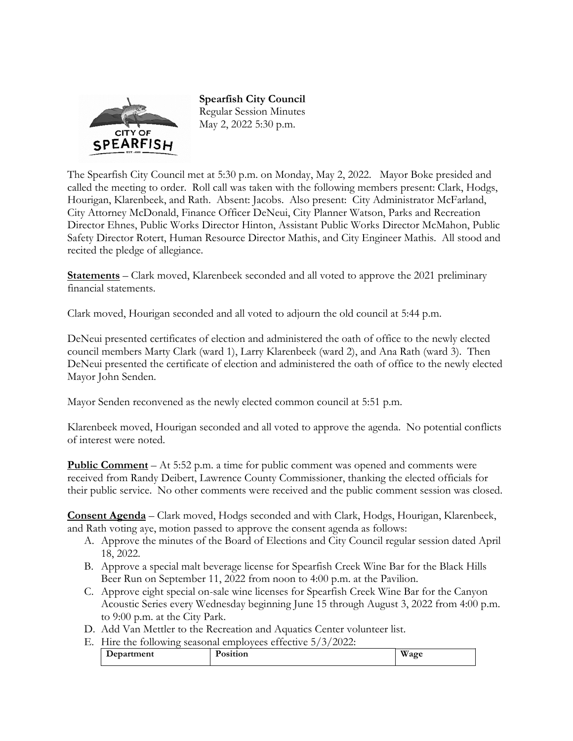

**Spearfish City Council**  Regular Session Minutes May 2, 2022 5:30 p.m.

The Spearfish City Council met at 5:30 p.m. on Monday, May 2, 2022. Mayor Boke presided and called the meeting to order. Roll call was taken with the following members present: Clark, Hodgs, Hourigan, Klarenbeek, and Rath. Absent: Jacobs. Also present: City Administrator McFarland, City Attorney McDonald, Finance Officer DeNeui, City Planner Watson, Parks and Recreation Director Ehnes, Public Works Director Hinton, Assistant Public Works Director McMahon, Public Safety Director Rotert, Human Resource Director Mathis, and City Engineer Mathis. All stood and recited the pledge of allegiance.

**Statements** – Clark moved, Klarenbeek seconded and all voted to approve the 2021 preliminary financial statements.

Clark moved, Hourigan seconded and all voted to adjourn the old council at 5:44 p.m.

DeNeui presented certificates of election and administered the oath of office to the newly elected council members Marty Clark (ward 1), Larry Klarenbeek (ward 2), and Ana Rath (ward 3). Then DeNeui presented the certificate of election and administered the oath of office to the newly elected Mayor John Senden.

Mayor Senden reconvened as the newly elected common council at 5:51 p.m.

Klarenbeek moved, Hourigan seconded and all voted to approve the agenda. No potential conflicts of interest were noted.

**Public Comment** – At 5:52 p.m. a time for public comment was opened and comments were received from Randy Deibert, Lawrence County Commissioner, thanking the elected officials for their public service. No other comments were received and the public comment session was closed.

**Consent Agenda** – Clark moved, Hodgs seconded and with Clark, Hodgs, Hourigan, Klarenbeek, and Rath voting aye, motion passed to approve the consent agenda as follows:

- A. Approve the minutes of the Board of Elections and City Council regular session dated April 18, 2022.
- B. Approve a special malt beverage license for Spearfish Creek Wine Bar for the Black Hills Beer Run on September 11, 2022 from noon to 4:00 p.m. at the Pavilion.
- C. Approve eight special on-sale wine licenses for Spearfish Creek Wine Bar for the Canyon Acoustic Series every Wednesday beginning June 15 through August 3, 2022 from 4:00 p.m. to 9:00 p.m. at the City Park.
- D. Add Van Mettler to the Recreation and Aquatics Center volunteer list.
- E. Hire the following seasonal employees effective 5/3/2022:

| Department | $\overline{\phantom{a}}$<br>.<br>osition<br>____ | $\mathbf{X}$<br>/agr<br>w |
|------------|--------------------------------------------------|---------------------------|
|------------|--------------------------------------------------|---------------------------|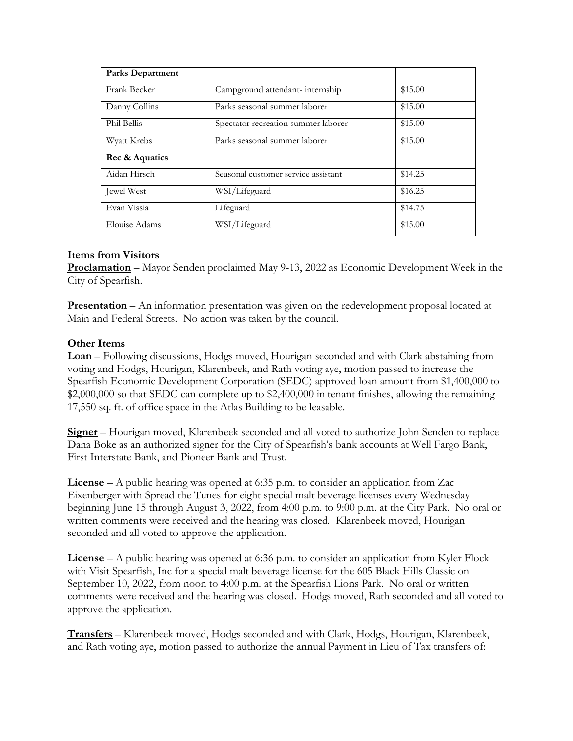| <b>Parks Department</b> |                                     |         |
|-------------------------|-------------------------------------|---------|
| Frank Becker            | Campground attendant-internship     | \$15.00 |
| Danny Collins           | Parks seasonal summer laborer       | \$15.00 |
| Phil Bellis             | Spectator recreation summer laborer | \$15.00 |
| Wyatt Krebs             | Parks seasonal summer laborer       | \$15.00 |
| Rec & Aquatics          |                                     |         |
| Aidan Hirsch            | Seasonal customer service assistant | \$14.25 |
| Jewel West              | WSI/Lifeguard                       | \$16.25 |
| Evan Vissia             | Lifeguard                           | \$14.75 |
| Elouise Adams           | WSI/Lifeguard                       | \$15.00 |

# **Items from Visitors**

**Proclamation** – Mayor Senden proclaimed May 9-13, 2022 as Economic Development Week in the City of Spearfish.

**Presentation** – An information presentation was given on the redevelopment proposal located at Main and Federal Streets. No action was taken by the council.

## **Other Items**

**Loan** – Following discussions, Hodgs moved, Hourigan seconded and with Clark abstaining from voting and Hodgs, Hourigan, Klarenbeek, and Rath voting aye, motion passed to increase the Spearfish Economic Development Corporation (SEDC) approved loan amount from \$1,400,000 to \$2,000,000 so that SEDC can complete up to \$2,400,000 in tenant finishes, allowing the remaining 17,550 sq. ft. of office space in the Atlas Building to be leasable.

**Signer** – Hourigan moved, Klarenbeek seconded and all voted to authorize John Senden to replace Dana Boke as an authorized signer for the City of Spearfish's bank accounts at Well Fargo Bank, First Interstate Bank, and Pioneer Bank and Trust.

**License** – A public hearing was opened at 6:35 p.m. to consider an application from Zac Eixenberger with Spread the Tunes for eight special malt beverage licenses every Wednesday beginning June 15 through August 3, 2022, from 4:00 p.m. to 9:00 p.m. at the City Park. No oral or written comments were received and the hearing was closed. Klarenbeek moved, Hourigan seconded and all voted to approve the application.

**License** – A public hearing was opened at 6:36 p.m. to consider an application from Kyler Flock with Visit Spearfish, Inc for a special malt beverage license for the 605 Black Hills Classic on September 10, 2022, from noon to 4:00 p.m. at the Spearfish Lions Park. No oral or written comments were received and the hearing was closed. Hodgs moved, Rath seconded and all voted to approve the application.

**Transfers** – Klarenbeek moved, Hodgs seconded and with Clark, Hodgs, Hourigan, Klarenbeek, and Rath voting aye, motion passed to authorize the annual Payment in Lieu of Tax transfers of: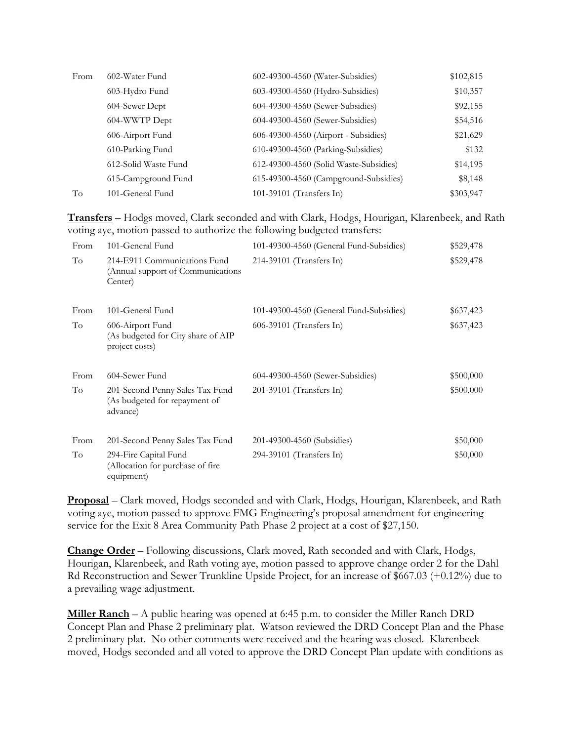| From | 602-Water Fund       | 602-49300-4560 (Water-Subsidies)       | \$102,815 |
|------|----------------------|----------------------------------------|-----------|
|      | 603-Hydro Fund       | 603-49300-4560 (Hydro-Subsidies)       | \$10,357  |
|      | 604-Sewer Dept       | 604-49300-4560 (Sewer-Subsidies)       | \$92,155  |
|      | 604-WWTP Dept        | 604-49300-4560 (Sewer-Subsidies)       | \$54,516  |
|      | 606-Airport Fund     | 606-49300-4560 (Airport - Subsidies)   | \$21,629  |
|      | 610-Parking Fund     | 610-49300-4560 (Parking-Subsidies)     | \$132     |
|      | 612-Solid Waste Fund | 612-49300-4560 (Solid Waste-Subsidies) | \$14,195  |
|      | 615-Campground Fund  | 615-49300-4560 (Campground-Subsidies)  | \$8,148   |
| To   | 101-General Fund     | 101-39101 (Transfers In)               | \$303,947 |

**Transfers** – Hodgs moved, Clark seconded and with Clark, Hodgs, Hourigan, Klarenbeek, and Rath voting aye, motion passed to authorize the following budgeted transfers:

| From | 101-General Fund                                                              | 101-49300-4560 (General Fund-Subsidies) | \$529,478 |
|------|-------------------------------------------------------------------------------|-----------------------------------------|-----------|
| To   | 214-E911 Communications Fund<br>(Annual support of Communications)<br>Center) | 214-39101 (Transfers In)                | \$529,478 |
| From | 101-General Fund                                                              | 101-49300-4560 (General Fund-Subsidies) | \$637,423 |
| To   | 606-Airport Fund<br>(As budgeted for City share of AIP<br>project costs)      | 606-39101 (Transfers In)                | \$637,423 |
| From | 604-Sewer Fund                                                                | 604-49300-4560 (Sewer-Subsidies)        | \$500,000 |
| To   | 201-Second Penny Sales Tax Fund<br>(As budgeted for repayment of<br>advance)  | 201-39101 (Transfers In)                | \$500,000 |
| From | 201-Second Penny Sales Tax Fund                                               | 201-49300-4560 (Subsidies)              | \$50,000  |
| To   | 294-Fire Capital Fund<br>(Allocation for purchase of fire<br>equipment)       | 294-39101 (Transfers In)                | \$50,000  |

**Proposal** – Clark moved, Hodgs seconded and with Clark, Hodgs, Hourigan, Klarenbeek, and Rath voting aye, motion passed to approve FMG Engineering's proposal amendment for engineering service for the Exit 8 Area Community Path Phase 2 project at a cost of \$27,150.

**Change Order** – Following discussions, Clark moved, Rath seconded and with Clark, Hodgs, Hourigan, Klarenbeek, and Rath voting aye, motion passed to approve change order 2 for the Dahl Rd Reconstruction and Sewer Trunkline Upside Project, for an increase of \$667.03 (+0.12%) due to a prevailing wage adjustment.

**Miller Ranch** – A public hearing was opened at 6:45 p.m. to consider the Miller Ranch DRD Concept Plan and Phase 2 preliminary plat. Watson reviewed the DRD Concept Plan and the Phase 2 preliminary plat. No other comments were received and the hearing was closed. Klarenbeek moved, Hodgs seconded and all voted to approve the DRD Concept Plan update with conditions as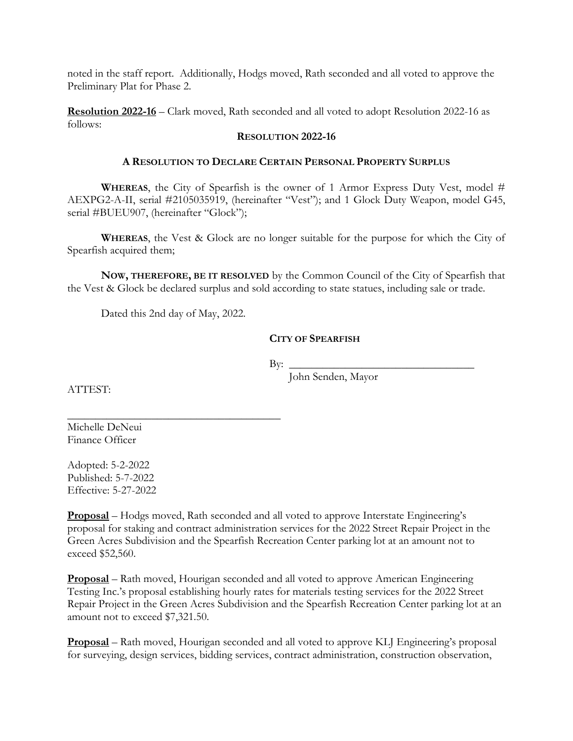noted in the staff report. Additionally, Hodgs moved, Rath seconded and all voted to approve the Preliminary Plat for Phase 2.

**Resolution 2022-16** – Clark moved, Rath seconded and all voted to adopt Resolution 2022-16 as follows:

#### **RESOLUTION 2022-16**

#### **A RESOLUTION TO DECLARE CERTAIN PERSONAL PROPERTY SURPLUS**

**WHEREAS**, the City of Spearfish is the owner of 1 Armor Express Duty Vest, model # AEXPG2-A-II, serial #2105035919, (hereinafter "Vest"); and 1 Glock Duty Weapon, model G45, serial #BUEU907, (hereinafter "Glock");

**WHEREAS**, the Vest & Glock are no longer suitable for the purpose for which the City of Spearfish acquired them;

**NOW, THEREFORE, BE IT RESOLVED** by the Common Council of the City of Spearfish that the Vest & Glock be declared surplus and sold according to state statues, including sale or trade.

Dated this 2nd day of May, 2022.

\_\_\_\_\_\_\_\_\_\_\_\_\_\_\_\_\_\_\_\_\_\_\_\_\_\_\_\_\_\_\_\_\_\_\_\_\_\_

## **CITY OF SPEARFISH**

 $\text{By:}\n\qquad \qquad \qquad$ 

John Senden, Mayor

ATTEST:

Michelle DeNeui Finance Officer

Adopted: 5-2-2022 Published: 5-7-2022 Effective: 5-27-2022

**Proposal** – Hodgs moved, Rath seconded and all voted to approve Interstate Engineering's proposal for staking and contract administration services for the 2022 Street Repair Project in the Green Acres Subdivision and the Spearfish Recreation Center parking lot at an amount not to exceed \$52,560.

**Proposal** – Rath moved, Hourigan seconded and all voted to approve American Engineering Testing Inc.'s proposal establishing hourly rates for materials testing services for the 2022 Street Repair Project in the Green Acres Subdivision and the Spearfish Recreation Center parking lot at an amount not to exceed \$7,321.50.

**Proposal** – Rath moved, Hourigan seconded and all voted to approve KLJ Engineering's proposal for surveying, design services, bidding services, contract administration, construction observation,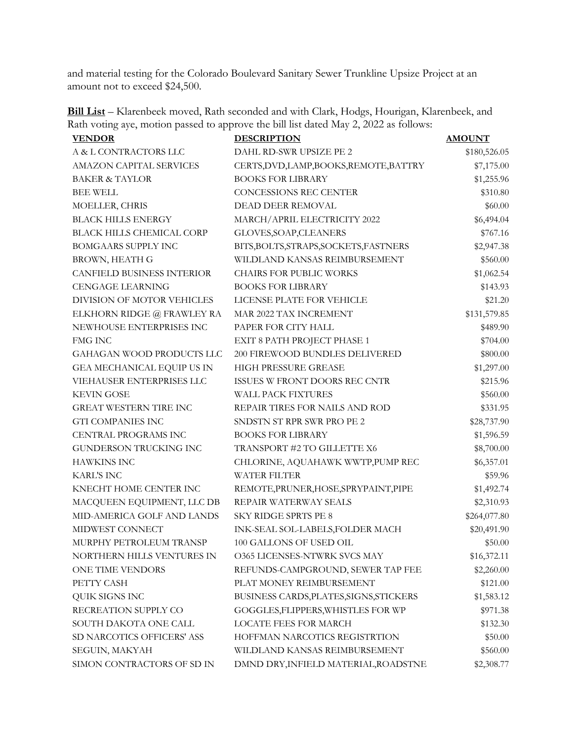and material testing for the Colorado Boulevard Sanitary Sewer Trunkline Upsize Project at an amount not to exceed \$24,500.

|  |  | <b>Bill List</b> – Klarenbeek moved, Rath seconded and with Clark, Hodgs, Hourigan, Klarenbeek, and |  |  |
|--|--|-----------------------------------------------------------------------------------------------------|--|--|
|  |  | Rath voting aye, motion passed to approve the bill list dated May 2, 2022 as follows:               |  |  |

| <b>VENDOR</b>                     | <b>DESCRIPTION</b>                      | <b>AMOUNT</b> |
|-----------------------------------|-----------------------------------------|---------------|
| A & L CONTRACTORS LLC             | DAHL RD-SWR UPSIZE PE 2                 | \$180,526.05  |
| <b>AMAZON CAPITAL SERVICES</b>    | CERTS, DVD, LAMP, BOOKS, REMOTE, BATTRY | \$7,175.00    |
| <b>BAKER &amp; TAYLOR</b>         | <b>BOOKS FOR LIBRARY</b>                | \$1,255.96    |
| <b>BEE WELL</b>                   | CONCESSIONS REC CENTER                  | \$310.80      |
| MOELLER, CHRIS                    | DEAD DEER REMOVAL                       | \$60.00       |
| <b>BLACK HILLS ENERGY</b>         | MARCH/APRIL ELECTRICITY 2022            | \$6,494.04    |
| <b>BLACK HILLS CHEMICAL CORP</b>  | GLOVES, SOAP, CLEANERS                  | \$767.16      |
| <b>BOMGAARS SUPPLY INC</b>        | BITS, BOLTS, STRAPS, SOCKETS, FASTNERS  | \$2,947.38    |
| <b>BROWN, HEATH G</b>             | WILDLAND KANSAS REIMBURSEMENT           | \$560.00      |
| <b>CANFIELD BUSINESS INTERIOR</b> | <b>CHAIRS FOR PUBLIC WORKS</b>          | \$1,062.54    |
| <b>CENGAGE LEARNING</b>           | <b>BOOKS FOR LIBRARY</b>                | \$143.93      |
| DIVISION OF MOTOR VEHICLES        | LICENSE PLATE FOR VEHICLE               | \$21.20       |
| ELKHORN RIDGE @ FRAWLEY RA        | MAR 2022 TAX INCREMENT                  | \$131,579.85  |
| NEWHOUSE ENTERPRISES INC          | PAPER FOR CITY HALL                     | \$489.90      |
| <b>FMG INC</b>                    | EXIT 8 PATH PROJECT PHASE 1             | \$704.00      |
| GAHAGAN WOOD PRODUCTS LLC         | 200 FIREWOOD BUNDLES DELIVERED          | \$800.00      |
| GEA MECHANICAL EQUIP US IN        | HIGH PRESSURE GREASE                    | \$1,297.00    |
| VIEHAUSER ENTERPRISES LLC         | ISSUES W FRONT DOORS REC CNTR           | \$215.96      |
| <b>KEVIN GOSE</b>                 | <b>WALL PACK FIXTURES</b>               | \$560.00      |
| <b>GREAT WESTERN TIRE INC</b>     | REPAIR TIRES FOR NAILS AND ROD          | \$331.95      |
| <b>GTI COMPANIES INC</b>          | SNDSTN ST RPR SWR PRO PE 2              | \$28,737.90   |
| CENTRAL PROGRAMS INC              | <b>BOOKS FOR LIBRARY</b>                | \$1,596.59    |
| GUNDERSON TRUCKING INC            | TRANSPORT #2 TO GILLETTE X6             | \$8,700.00    |
| <b>HAWKINS INC</b>                | CHLORINE, AQUAHAWK WWTP, PUMP REC       | \$6,357.01    |
| <b>KARL'S INC</b>                 | <b>WATER FILTER</b>                     | \$59.96       |
| KNECHT HOME CENTER INC            | REMOTE, PRUNER, HOSE, SPRYPAINT, PIPE   | \$1,492.74    |
| MACQUEEN EQUIPMENT, LLC DB        | REPAIR WATERWAY SEALS                   | \$2,310.93    |
| MID-AMERICA GOLF AND LANDS        | <b>SKY RIDGE SPRTS PE 8</b>             | \$264,077.80  |
| MIDWEST CONNECT                   | INK-SEAL SOL-LABELS, FOLDER MACH        | \$20,491.90   |
| MURPHY PETROLEUM TRANSP           | 100 GALLONS OF USED OIL                 | \$50.00       |
| NORTHERN HILLS VENTURES IN        | <b>O365 LICENSES-NTWRK SVCS MAY</b>     | \$16,372.11   |
| ONE TIME VENDORS                  | REFUNDS-CAMPGROUND, SEWER TAP FEE       | \$2,260.00    |
| PETTY CASH                        | PLAT MONEY REIMBURSEMENT                | \$121.00      |
| QUIK SIGNS INC                    | BUSINESS CARDS, PLATES, SIGNS, STICKERS | \$1,583.12    |
| RECREATION SUPPLY CO              | GOGGLES, FLIPPERS, WHISTLES FOR WP      | \$971.38      |
| SOUTH DAKOTA ONE CALL             | <b>LOCATE FEES FOR MARCH</b>            | \$132.30      |
| SD NARCOTICS OFFICERS' ASS        | HOFFMAN NARCOTICS REGISTRTION           | \$50.00       |
| SEGUIN, MAKYAH                    | WILDLAND KANSAS REIMBURSEMENT           | \$560.00      |
| SIMON CONTRACTORS OF SD IN        | DMND DRY, INFIELD MATERIAL, ROADSTNE    | \$2,308.77    |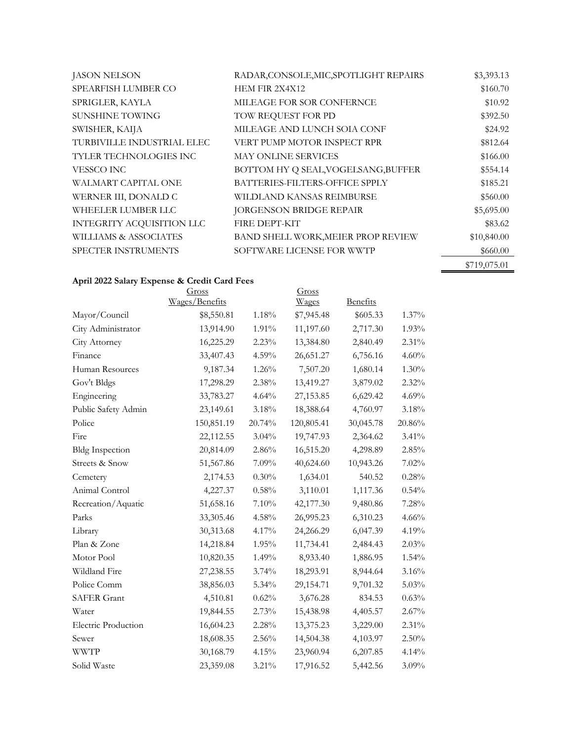| <b>JASON NELSON</b>           | RADAR, CONSOLE, MIC, SPOTLIGHT REPAIRS | \$3,393.13   |
|-------------------------------|----------------------------------------|--------------|
| SPEARFISH LUMBER CO           | <b>HEM FIR 2X4X12</b>                  | \$160.70     |
| SPRIGLER, KAYLA               | MILEAGE FOR SOR CONFERNCE              | \$10.92      |
| <b>SUNSHINE TOWING</b>        | TOW REQUEST FOR PD                     | \$392.50     |
| SWISHER, KAIJA                | MILEAGE AND LUNCH SOIA CONF            | \$24.92      |
| TURBIVILLE INDUSTRIAL ELEC    | VERT PUMP MOTOR INSPECT RPR            | \$812.64     |
| <b>TYLER TECHNOLOGIES INC</b> | <b>MAY ONLINE SERVICES</b>             | \$166.00     |
| VESSCO INC                    | BOTTOM HY Q SEAL, VOGELSANG, BUFFER    | \$554.14     |
| WALMART CAPITAL ONE           | BATTERIES-FILTERS-OFFICE SPPLY         | \$185.21     |
| WERNER III, DONALD C          | WILDLAND KANSAS REIMBURSE              | \$560.00     |
| WHEELER LUMBER LLC            | <b>JORGENSON BRIDGE REPAIR</b>         | \$5,695.00   |
| INTEGRITY ACQUISITION LLC     | <b>FIRE DEPT-KIT</b>                   | \$83.62      |
| WILLIAMS & ASSOCIATES         | BAND SHELL WORK, MEIER PROP REVIEW     | \$10,840.00  |
| <b>SPECTER INSTRUMENTS</b>    | SOFTWARE LICENSE FOR WWTP              | \$660.00     |
|                               |                                        | \$719,075.01 |

# **April 2022 Salary Expense & Credit Card Fees**

|                            | Gross          |        | Gross      |                 |          |
|----------------------------|----------------|--------|------------|-----------------|----------|
|                            | Wages/Benefits |        | Wages      | <b>Benefits</b> |          |
| Mayor/Council              | \$8,550.81     | 1.18%  | \$7,945.48 | \$605.33        | $1.37\%$ |
| City Administrator         | 13,914.90      | 1.91%  | 11,197.60  | 2,717.30        | 1.93%    |
| City Attorney              | 16,225.29      | 2.23%  | 13,384.80  | 2,840.49        | 2.31%    |
| Finance                    | 33,407.43      | 4.59%  | 26,651.27  | 6,756.16        | 4.60%    |
| Human Resources            | 9,187.34       | 1.26%  | 7,507.20   | 1,680.14        | 1.30%    |
| Gov't Bldgs                | 17,298.29      | 2.38%  | 13,419.27  | 3,879.02        | 2.32%    |
| Engineering                | 33,783.27      | 4.64%  | 27,153.85  | 6,629.42        | 4.69%    |
| Public Safety Admin        | 23,149.61      | 3.18%  | 18,388.64  | 4,760.97        | 3.18%    |
| Police                     | 150,851.19     | 20.74% | 120,805.41 | 30,045.78       | 20.86%   |
| Fire                       | 22,112.55      | 3.04%  | 19,747.93  | 2,364.62        | $3.41\%$ |
| <b>Bldg Inspection</b>     | 20,814.09      | 2.86%  | 16,515.20  | 4,298.89        | 2.85%    |
| Streets & Snow             | 51,567.86      | 7.09%  | 40,624.60  | 10,943.26       | 7.02%    |
| Cemetery                   | 2,174.53       | 0.30%  | 1,634.01   | 540.52          | 0.28%    |
| Animal Control             | 4,227.37       | 0.58%  | 3,110.01   | 1,117.36        | 0.54%    |
| Recreation/Aquatic         | 51,658.16      | 7.10%  | 42,177.30  | 9,480.86        | 7.28%    |
| Parks                      | 33, 305. 46    | 4.58%  | 26,995.23  | 6,310.23        | 4.66%    |
| Library                    | 30,313.68      | 4.17%  | 24,266.29  | 6,047.39        | 4.19%    |
| Plan & Zone                | 14,218.84      | 1.95%  | 11,734.41  | 2,484.43        | 2.03%    |
| Motor Pool                 | 10,820.35      | 1.49%  | 8,933.40   | 1,886.95        | 1.54%    |
| Wildland Fire              | 27,238.55      | 3.74%  | 18,293.91  | 8,944.64        | 3.16%    |
| Police Comm                | 38,856.03      | 5.34%  | 29,154.71  | 9,701.32        | 5.03%    |
| <b>SAFER Grant</b>         | 4,510.81       | 0.62%  | 3,676.28   | 834.53          | 0.63%    |
| Water                      | 19,844.55      | 2.73%  | 15,438.98  | 4,405.57        | 2.67%    |
| <b>Electric Production</b> | 16,604.23      | 2.28%  | 13,375.23  | 3,229.00        | 2.31%    |
| Sewer                      | 18,608.35      | 2.56%  | 14,504.38  | 4,103.97        | 2.50%    |
| <b>WWTP</b>                | 30,168.79      | 4.15%  | 23,960.94  | 6,207.85        | 4.14%    |
| Solid Waste                | 23,359.08      | 3.21%  | 17,916.52  | 5,442.56        | 3.09%    |